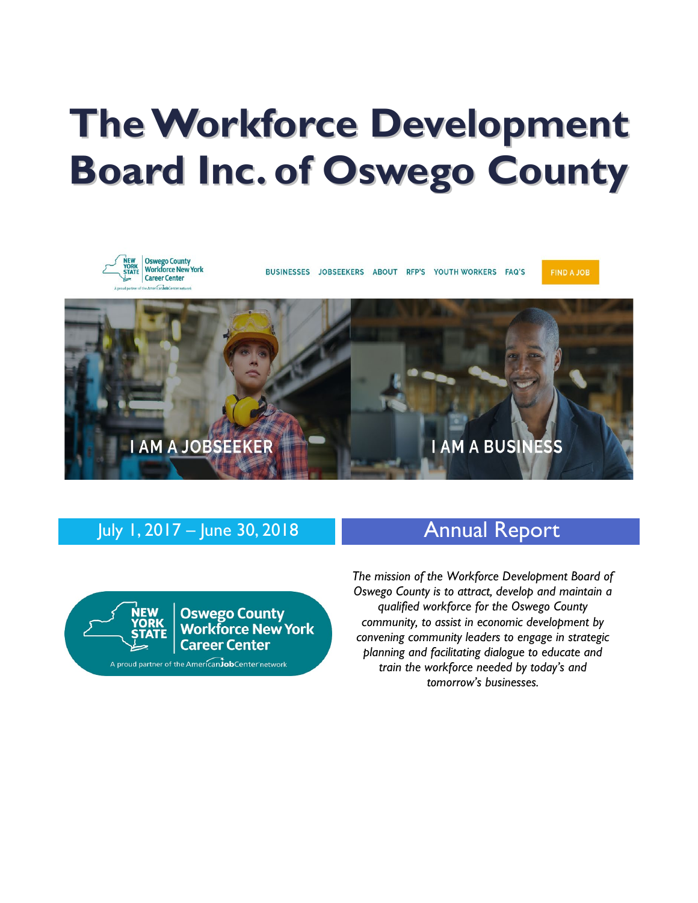# **TheWorkforce Development Board Inc. of Oswego County**



# July 1, 2017 – June 30, 2018 **Annual Report**



**Oswego County<br>Workforce New York Career Center** 

A proud partner of the American JobCenter network

*The mission of the Workforce Development Board of Oswego County is to attract, develop and maintain a qualified workforce for the Oswego County community, to assist in economic development by convening community leaders to engage in strategic planning and facilitating dialogue to educate and train the workforce needed by today's and tomorrow's businesses.*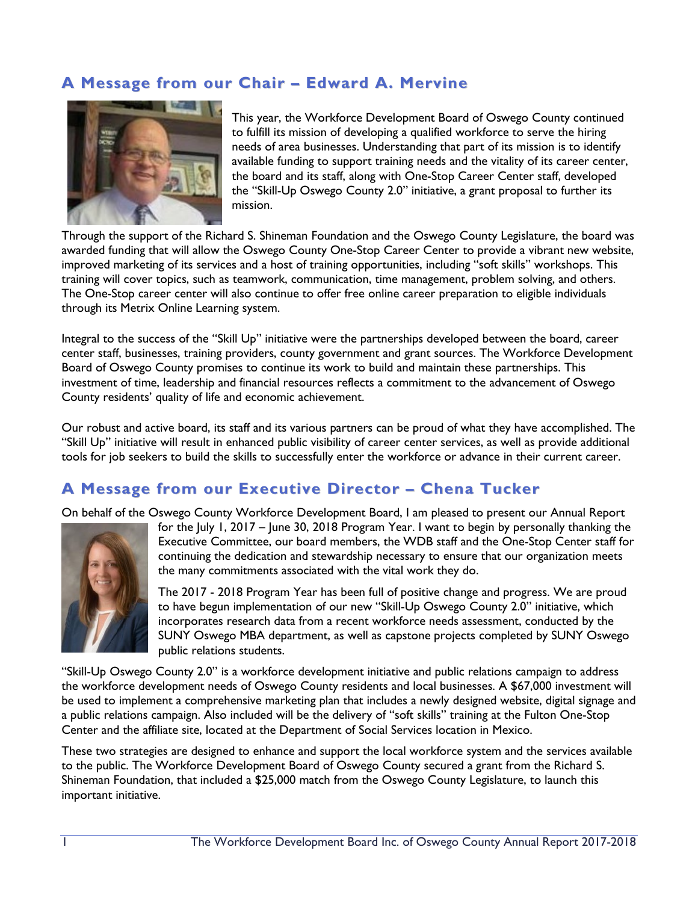# **A Message from our Chair – Edward A. Mervine**



This year, the Workforce Development Board of Oswego County continued to fulfill its mission of developing a qualified workforce to serve the hiring needs of area businesses. Understanding that part of its mission is to identify available funding to support training needs and the vitality of its career center, the board and its staff, along with One-Stop Career Center staff, developed the "Skill-Up Oswego County 2.0" initiative, a grant proposal to further its mission.

Through the support of the Richard S. Shineman Foundation and the Oswego County Legislature, the board was awarded funding that will allow the Oswego County One-Stop Career Center to provide a vibrant new website, improved marketing of its services and a host of training opportunities, including "soft skills" workshops. This training will cover topics, such as teamwork, communication, time management, problem solving, and others. The One-Stop career center will also continue to offer free online career preparation to eligible individuals through its Metrix Online Learning system.

Integral to the success of the "Skill Up" initiative were the partnerships developed between the board, career center staff, businesses, training providers, county government and grant sources. The Workforce Development Board of Oswego County promises to continue its work to build and maintain these partnerships. This investment of time, leadership and financial resources reflects a commitment to the advancement of Oswego County residents' quality of life and economic achievement.

Our robust and active board, its staff and its various partners can be proud of what they have accomplished. The "Skill Up" initiative will result in enhanced public visibility of career center services, as well as provide additional tools for job seekers to build the skills to successfully enter the workforce or advance in their current career.

#### **A Message from our Executive Director – Chena Tucker**

On behalf of the Oswego County Workforce Development Board, I am pleased to present our Annual Report



for the July 1, 2017 – June 30, 2018 Program Year. I want to begin by personally thanking the Executive Committee, our board members, the WDB staff and the One-Stop Center staff for continuing the dedication and stewardship necessary to ensure that our organization meets the many commitments associated with the vital work they do.

The 2017 - 2018 Program Year has been full of positive change and progress. We are proud to have begun implementation of our new "Skill-Up Oswego County 2.0" initiative, which incorporates research data from a recent workforce needs assessment, conducted by the SUNY Oswego MBA department, as well as capstone projects completed by SUNY Oswego public relations students.

"Skill-Up Oswego County 2.0" is a workforce development initiative and public relations campaign to address the workforce development needs of Oswego County residents and local businesses. A \$67,000 investment will be used to implement a comprehensive marketing plan that includes a newly designed website, digital signage and a public relations campaign. Also included will be the delivery of "soft skills" training at the Fulton One-Stop Center and the affiliate site, located at the Department of Social Services location in Mexico.

These two strategies are designed to enhance and support the local workforce system and the services available to the public. The Workforce Development Board of Oswego County secured a grant from the Richard S. Shineman Foundation, that included a \$25,000 match from the Oswego County Legislature, to launch this important initiative.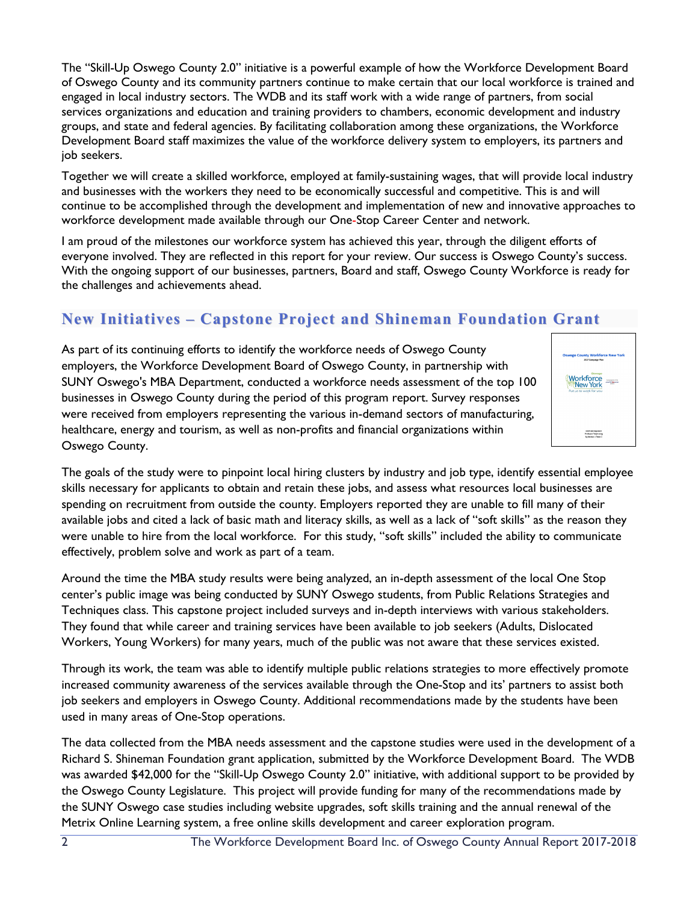The "Skill-Up Oswego County 2.0" initiative is a powerful example of how the Workforce Development Board of Oswego County and its community partners continue to make certain that our local workforce is trained and engaged in local industry sectors. The WDB and its staff work with a wide range of partners, from social services organizations and education and training providers to chambers, economic development and industry groups, and state and federal agencies. By facilitating collaboration among these organizations, the Workforce Development Board staff maximizes the value of the workforce delivery system to employers, its partners and job seekers.

Together we will create a skilled workforce, employed at family-sustaining wages, that will provide local industry and businesses with the workers they need to be economically successful and competitive. This is and will continue to be accomplished through the development and implementation of new and innovative approaches to workforce development made available through our One-Stop Career Center and network.

I am proud of the milestones our workforce system has achieved this year, through the diligent efforts of everyone involved. They are reflected in this report for your review. Our success is Oswego County's success. With the ongoing support of our businesses, partners, Board and staff, Oswego County Workforce is ready for the challenges and achievements ahead.

# **New Initiatives – Capstone Project and Shineman Foundation Grant**

As part of its continuing efforts to identify the workforce needs of Oswego County employers, the Workforce Development Board of Oswego County, in partnership with SUNY Oswego's MBA Department, conducted a workforce needs assessment of the top 100 businesses in Oswego County during the period of this program report. Survey responses were received from employers representing the various in-demand sectors of manufacturing, healthcare, energy and tourism, as well as non-profits and financial organizations within Oswego County.



The goals of the study were to pinpoint local hiring clusters by industry and job type, identify essential employee skills necessary for applicants to obtain and retain these jobs, and assess what resources local businesses are spending on recruitment from outside the county. Employers reported they are unable to fill many of their available jobs and cited a lack of basic math and literacy skills, as well as a lack of "soft skills" as the reason they were unable to hire from the local workforce. For this study, "soft skills" included the ability to communicate effectively, problem solve and work as part of a team.

Around the time the MBA study results were being analyzed, an in-depth assessment of the local One Stop center's public image was being conducted by SUNY Oswego students, from Public Relations Strategies and Techniques class. This capstone project included surveys and in-depth interviews with various stakeholders. They found that while career and training services have been available to job seekers (Adults, Dislocated Workers, Young Workers) for many years, much of the public was not aware that these services existed.

Through its work, the team was able to identify multiple public relations strategies to more effectively promote increased community awareness of the services available through the One-Stop and its' partners to assist both job seekers and employers in Oswego County. Additional recommendations made by the students have been used in many areas of One-Stop operations.

The data collected from the MBA needs assessment and the capstone studies were used in the development of a Richard S. Shineman Foundation grant application, submitted by the Workforce Development Board. The WDB was awarded \$42,000 for the "Skill-Up Oswego County 2.0" initiative, with additional support to be provided by the Oswego County Legislature. This project will provide funding for many of the recommendations made by the SUNY Oswego case studies including website upgrades, soft skills training and the annual renewal of the Metrix Online Learning system, a free online skills development and career exploration program.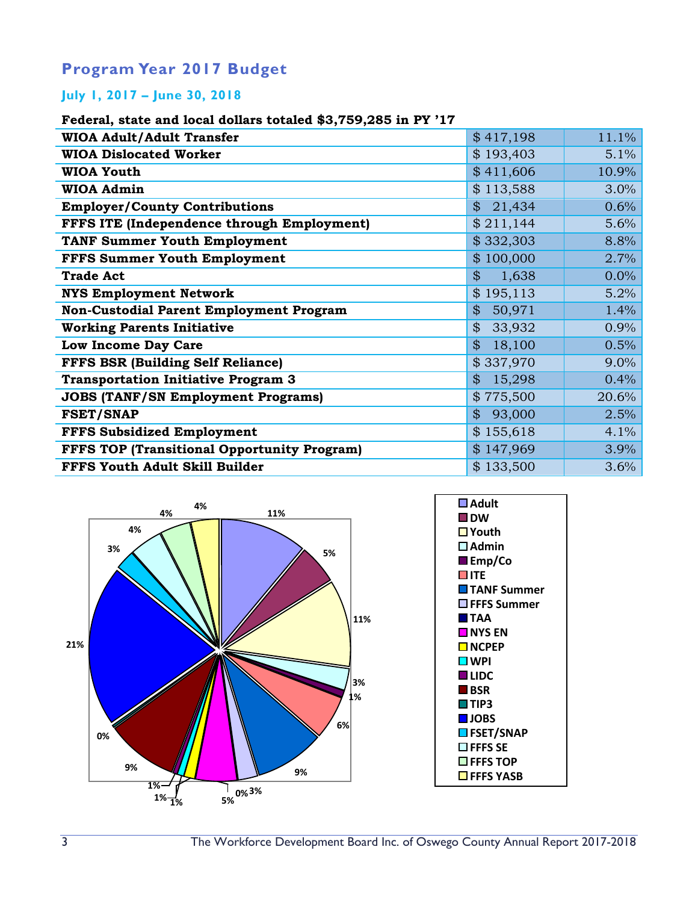## **Program Year 2017 Budget**

#### **July 1, 2017 – June 30, 2018**

#### **Federal, state and local dollars totaled \$3,759,285 in PY '17**

| \$417,198    | 11.1% |
|--------------|-------|
| \$193,403    | 5.1%  |
| \$411,606    | 10.9% |
| \$113,588    | 3.0%  |
| 21,434       | 0.6%  |
| \$211,144    | 5.6%  |
| \$332,303    | 8.8%  |
| \$100,000    | 2.7%  |
| \$<br>1,638  | 0.0%  |
| \$195,113    | 5.2%  |
| 50,971<br>\$ | 1.4%  |
| 33,932<br>\$ | 0.9%  |
| 18,100       | 0.5%  |
| \$337,970    | 9.0%  |
| 15,298<br>\$ | 0.4%  |
| \$775,500    | 20.6% |
| 93,000<br>\$ | 2.5%  |
| \$155,618    | 4.1%  |
| \$147,969    | 3.9%  |
| \$133,500    | 3.6%  |
|              |       |

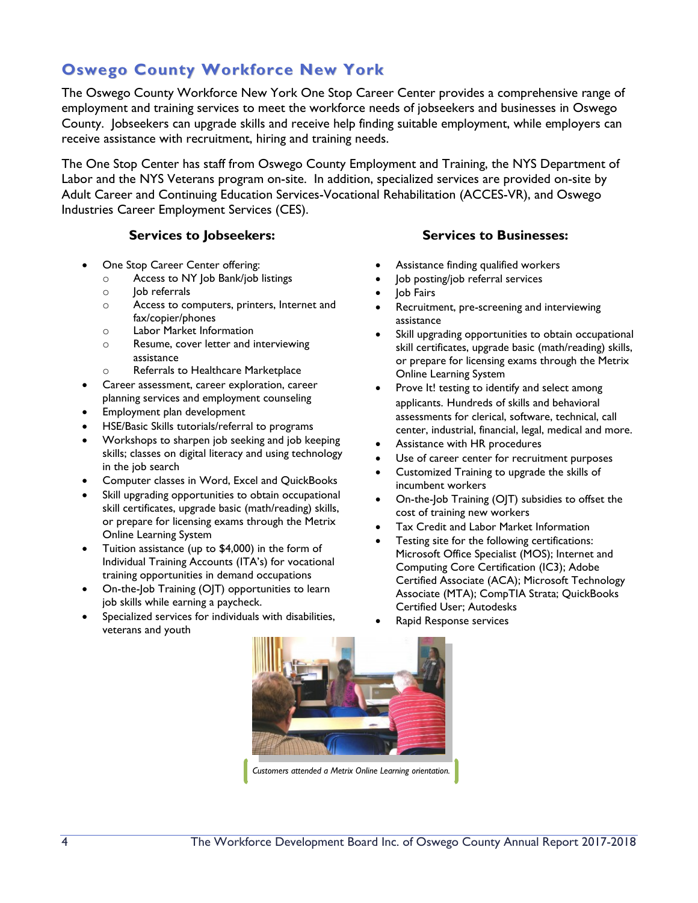# **Oswego County Workforce New York**

The Oswego County Workforce New York One Stop Career Center provides a comprehensive range of employment and training services to meet the workforce needs of jobseekers and businesses in Oswego County. Jobseekers can upgrade skills and receive help finding suitable employment, while employers can receive assistance with recruitment, hiring and training needs.

The One Stop Center has staff from Oswego County Employment and Training, the NYS Department of Labor and the NYS Veterans program on-site. In addition, specialized services are provided on-site by Adult Career and Continuing Education Services-Vocational Rehabilitation (ACCES-VR), and Oswego Industries Career Employment Services (CES).

#### **Services to Jobseekers: Services to Businesses:**

- One Stop Career Center offering:
	- o Access to NY Job Bank/job listings
	- $\circ$  Iob referrals
	- o Access to computers, printers, Internet and fax/copier/phones
	- o Labor Market Information
	- o Resume, cover letter and interviewing assistance
	- o Referrals to Healthcare Marketplace
- Career assessment, career exploration, career planning services and employment counseling
- Employment plan development
- HSE/Basic Skills tutorials/referral to programs
- Workshops to sharpen job seeking and job keeping skills; classes on digital literacy and using technology in the job search
- Computer classes in Word, Excel and QuickBooks
- Skill upgrading opportunities to obtain occupational skill certificates, upgrade basic (math/reading) skills, or prepare for licensing exams through the Metrix Online Learning System
- Tuition assistance (up to \$4,000) in the form of Individual Training Accounts (ITA's) for vocational training opportunities in demand occupations
- On-the-Job Training (OJT) opportunities to learn job skills while earning a paycheck.
- Specialized services for individuals with disabilities, veterans and youth
- 
- Assistance finding qualified workers
- Job posting/job referral services
- Job Fairs
- Recruitment, pre-screening and interviewing assistance
- Skill upgrading opportunities to obtain occupational skill certificates, upgrade basic (math/reading) skills, or prepare for licensing exams through the Metrix Online Learning System
- Prove It! testing to identify and select among applicants. Hundreds of skills and behavioral assessments for clerical, software, technical, call center, industrial, financial, legal, medical and more.
- Assistance with HR procedures
- Use of career center for recruitment purposes
- Customized Training to upgrade the skills of incumbent workers
- On-the-Job Training (OJT) subsidies to offset the cost of training new workers
- Tax Credit and Labor Market Information
- Testing site for the following certifications: Microsoft Office Specialist (MOS); Internet and Computing Core Certification (IC3); Adobe Certified Associate (ACA); Microsoft Technology Associate (MTA); CompTIA Strata; QuickBooks Certified User; Autodesks
- Rapid Response services

*Customers attended a Metrix Online Learning orientation.*

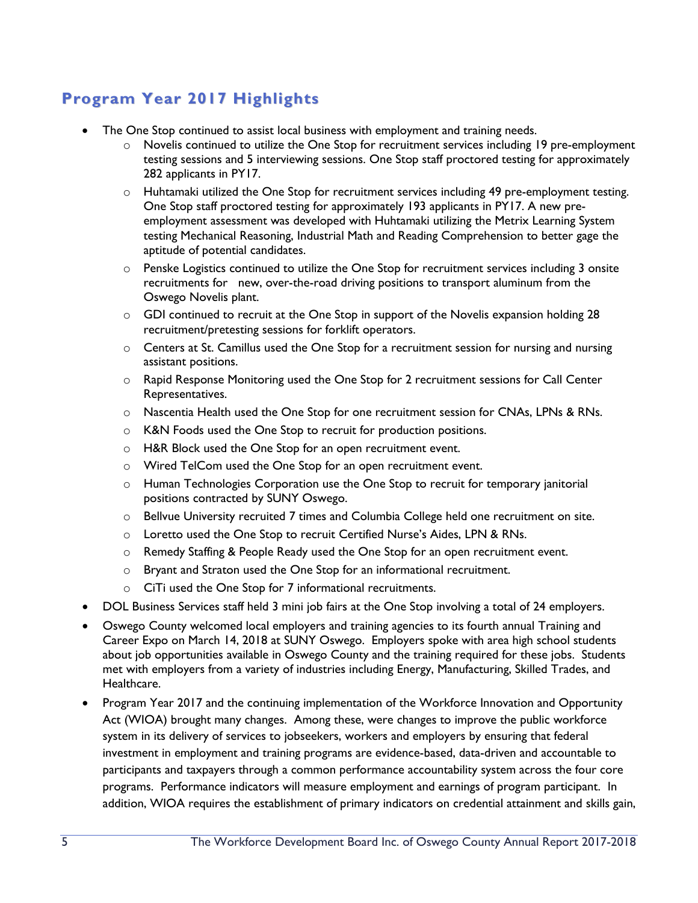# **Program Year 2017 Highlights**

- The One Stop continued to assist local business with employment and training needs.
	- $\circ$  Novelis continued to utilize the One Stop for recruitment services including 19 pre-employment testing sessions and 5 interviewing sessions. One Stop staff proctored testing for approximately 282 applicants in PY17.
	- $\circ$  Huhtamaki utilized the One Stop for recruitment services including 49 pre-employment testing. One Stop staff proctored testing for approximately 193 applicants in PY17. A new preemployment assessment was developed with Huhtamaki utilizing the Metrix Learning System testing Mechanical Reasoning, Industrial Math and Reading Comprehension to better gage the aptitude of potential candidates.
	- o Penske Logistics continued to utilize the One Stop for recruitment services including 3 onsite recruitments for new, over-the-road driving positions to transport aluminum from the Oswego Novelis plant.
	- $\circ$  GDI continued to recruit at the One Stop in support of the Novelis expansion holding 28 recruitment/pretesting sessions for forklift operators.
	- $\circ$  Centers at St. Camillus used the One Stop for a recruitment session for nursing and nursing assistant positions.
	- o Rapid Response Monitoring used the One Stop for 2 recruitment sessions for Call Center Representatives.
	- o Nascentia Health used the One Stop for one recruitment session for CNAs, LPNs & RNs.
	- o K&N Foods used the One Stop to recruit for production positions.
	- o H&R Block used the One Stop for an open recruitment event.
	- o Wired TelCom used the One Stop for an open recruitment event.
	- $\circ$  Human Technologies Corporation use the One Stop to recruit for temporary janitorial positions contracted by SUNY Oswego.
	- o Bellvue University recruited 7 times and Columbia College held one recruitment on site.
	- o Loretto used the One Stop to recruit Certified Nurse's Aides, LPN & RNs.
	- o Remedy Staffing & People Ready used the One Stop for an open recruitment event.
	- o Bryant and Straton used the One Stop for an informational recruitment.
	- o CiTi used the One Stop for 7 informational recruitments.
- DOL Business Services staff held 3 mini job fairs at the One Stop involving a total of 24 employers.
- Oswego County welcomed local employers and training agencies to its fourth annual Training and Career Expo on March 14, 2018 at SUNY Oswego. Employers spoke with area high school students about job opportunities available in Oswego County and the training required for these jobs. Students met with employers from a variety of industries including Energy, Manufacturing, Skilled Trades, and Healthcare.
- Program Year 2017 and the continuing implementation of the Workforce Innovation and Opportunity Act (WIOA) brought many changes. Among these, were changes to improve the public workforce system in its delivery of services to jobseekers, workers and employers by ensuring that federal investment in employment and training programs are evidence-based, data-driven and accountable to participants and taxpayers through a common performance accountability system across the four core programs. Performance indicators will measure employment and earnings of program participant. In addition, WIOA requires the establishment of primary indicators on credential attainment and skills gain,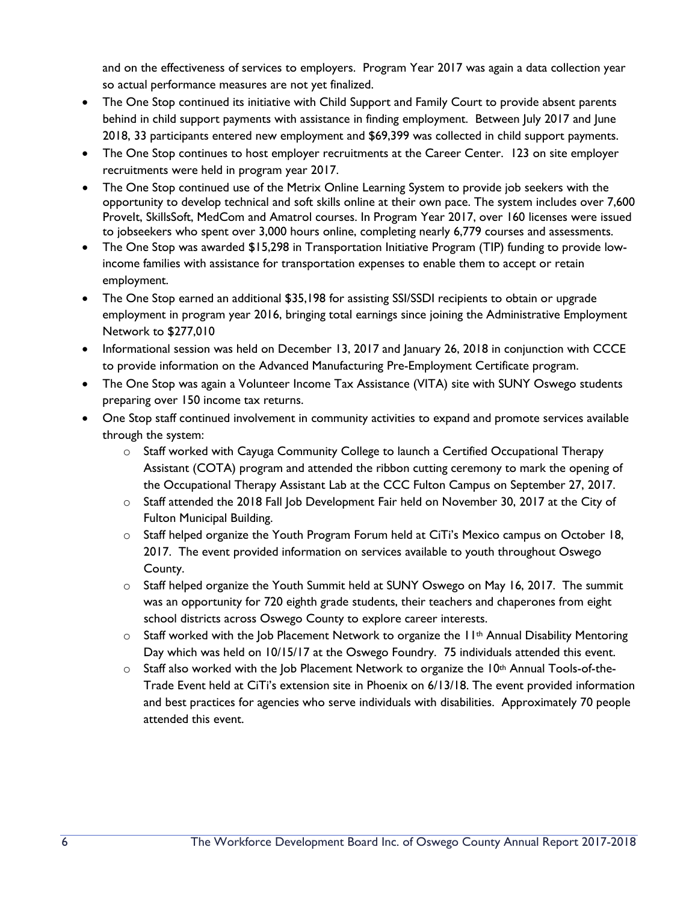and on the effectiveness of services to employers. Program Year 2017 was again a data collection year so actual performance measures are not yet finalized.

- The One Stop continued its initiative with Child Support and Family Court to provide absent parents behind in child support payments with assistance in finding employment. Between July 2017 and June 2018, 33 participants entered new employment and \$69,399 was collected in child support payments.
- The One Stop continues to host employer recruitments at the Career Center. 123 on site employer recruitments were held in program year 2017.
- The One Stop continued use of the Metrix Online Learning System to provide job seekers with the opportunity to develop technical and soft skills online at their own pace. The system includes over 7,600 Provelt, SkillsSoft, MedCom and Amatrol courses. In Program Year 2017, over 160 licenses were issued to jobseekers who spent over 3,000 hours online, completing nearly 6,779 courses and assessments.
- The One Stop was awarded \$15,298 in Transportation Initiative Program (TIP) funding to provide lowincome families with assistance for transportation expenses to enable them to accept or retain employment.
- The One Stop earned an additional \$35,198 for assisting SSI/SSDI recipients to obtain or upgrade employment in program year 2016, bringing total earnings since joining the Administrative Employment Network to \$277,010
- Informational session was held on December 13, 2017 and January 26, 2018 in conjunction with CCCE to provide information on the Advanced Manufacturing Pre-Employment Certificate program.
- The One Stop was again a Volunteer Income Tax Assistance (VITA) site with SUNY Oswego students preparing over 150 income tax returns.
- One Stop staff continued involvement in community activities to expand and promote services available through the system:
	- o Staff worked with Cayuga Community College to launch a Certified Occupational Therapy Assistant (COTA) program and attended the ribbon cutting ceremony to mark the opening of the Occupational Therapy Assistant Lab at the CCC Fulton Campus on September 27, 2017.
	- o Staff attended the 2018 Fall Job Development Fair held on November 30, 2017 at the City of Fulton Municipal Building.
	- $\circ$  Staff helped organize the Youth Program Forum held at CiTi's Mexico campus on October 18, 2017. The event provided information on services available to youth throughout Oswego County.
	- $\circ$  Staff helped organize the Youth Summit held at SUNY Oswego on May 16, 2017. The summit was an opportunity for 720 eighth grade students, their teachers and chaperones from eight school districts across Oswego County to explore career interests.
	- $\circ$  Staff worked with the Job Placement Network to organize the  $H^{\text{th}}$  Annual Disability Mentoring Day which was held on 10/15/17 at the Oswego Foundry. 75 individuals attended this event.
	- $\circ$  Staff also worked with the Job Placement Network to organize the 10<sup>th</sup> Annual Tools-of-the-Trade Event held at CiTi's extension site in Phoenix on 6/13/18. The event provided information and best practices for agencies who serve individuals with disabilities. Approximately 70 people attended this event.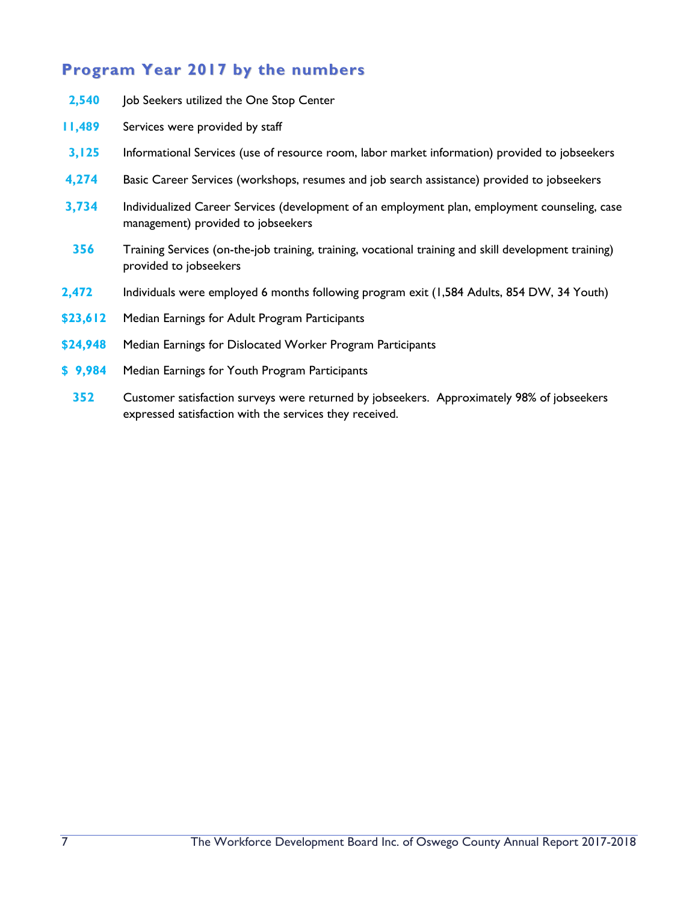# **Program Year 2017 by the numbers**

- **2,540** Job Seekers utilized the One Stop Center
- **11,489** Services were provided by staff
- **3,125** Informational Services (use of resource room, labor market information) provided to jobseekers
- **4,274** Basic Career Services (workshops, resumes and job search assistance) provided to jobseekers
- **3,734** Individualized Career Services (development of an employment plan, employment counseling, case management) provided to jobseekers
- **356** Training Services (on-the-job training, training, vocational training and skill development training) provided to jobseekers
- **2,472** Individuals were employed 6 months following program exit (1,584 Adults, 854 DW, 34 Youth)
- **\$23,612** Median Earnings for Adult Program Participants
- **\$24,948** Median Earnings for Dislocated Worker Program Participants
- **\$ 9,984** Median Earnings for Youth Program Participants
	- **352** Customer satisfaction surveys were returned by jobseekers. Approximately 98% of jobseekers expressed satisfaction with the services they received.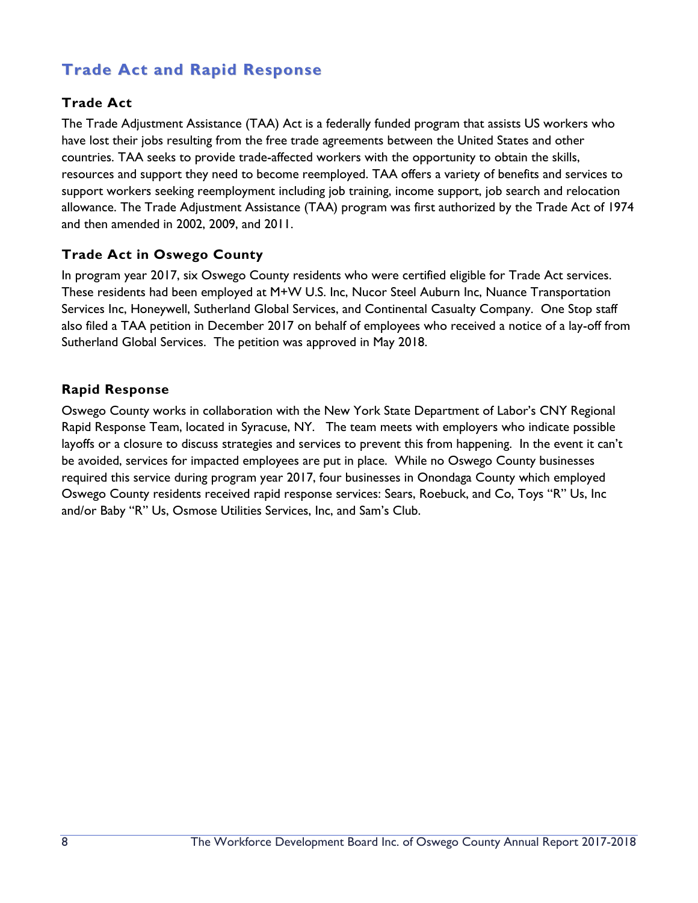# **Trade Act and Rapid Response**

#### **Trade Act**

The Trade Adjustment Assistance (TAA) Act is a federally funded program that assists US workers who have lost their jobs resulting from the free trade agreements between the United States and other countries. TAA seeks to provide trade-affected workers with the opportunity to obtain the skills, resources and support they need to become reemployed. TAA offers a variety of benefits and services to support workers seeking reemployment including job training, income support, job search and relocation allowance. The Trade Adjustment Assistance (TAA) program was first authorized by the Trade Act of 1974 and then amended in 2002, 2009, and 2011.

#### **Trade Act in Oswego County**

In program year 2017, six Oswego County residents who were certified eligible for Trade Act services. These residents had been employed at M+W U.S. Inc, Nucor Steel Auburn Inc, Nuance Transportation Services Inc, Honeywell, Sutherland Global Services, and Continental Casualty Company. One Stop staff also filed a TAA petition in December 2017 on behalf of employees who received a notice of a lay-off from Sutherland Global Services. The petition was approved in May 2018.

#### **Rapid Response**

Oswego County works in collaboration with the New York State Department of Labor's CNY Regional Rapid Response Team, located in Syracuse, NY. The team meets with employers who indicate possible layoffs or a closure to discuss strategies and services to prevent this from happening. In the event it can't be avoided, services for impacted employees are put in place. While no Oswego County businesses required this service during program year 2017, four businesses in Onondaga County which employed Oswego County residents received rapid response services: Sears, Roebuck, and Co, Toys "R" Us, Inc and/or Baby "R" Us, Osmose Utilities Services, Inc, and Sam's Club.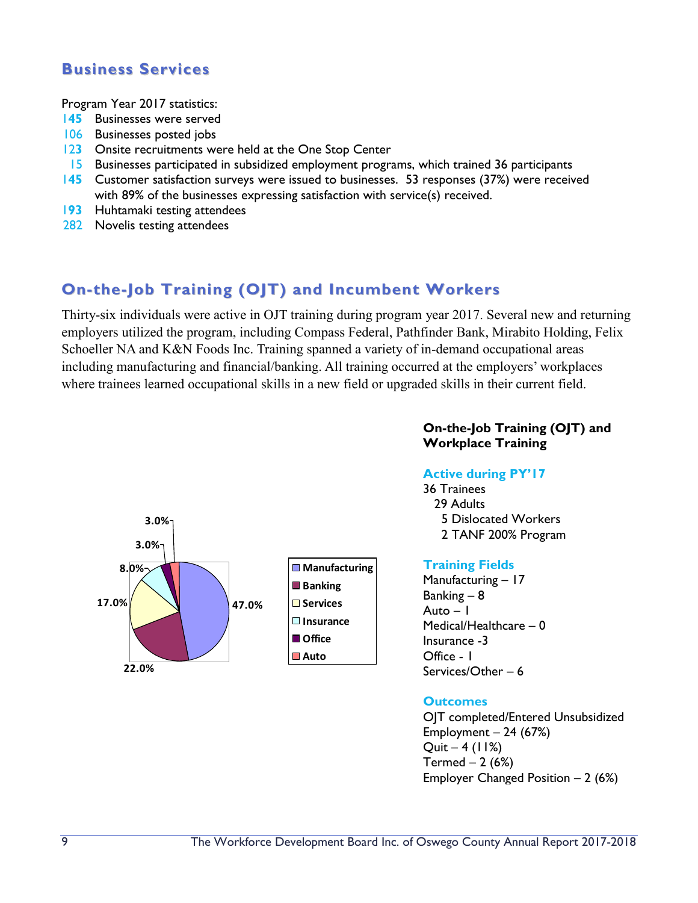## **Business Services**

Program Year 2017 statistics:

- 1**45** Businesses were served
- 106 Businesses posted jobs
- 12**3** Onsite recruitments were held at the One Stop Center
- 15 Businesses participated in subsidized employment programs, which trained 36 participants
- 1**45** Customer satisfaction surveys were issued to businesses. 53 responses (37%) were received with 89% of the businesses expressing satisfaction with service(s) received.
- 1**93** Huhtamaki testing attendees
- 282 Novelis testing attendees

# **On-the-Job Training (OJT) and Incumbent Workers**

Thirty-six individuals were active in OJT training during program year 2017. Several new and returning employers utilized the program, including Compass Federal, Pathfinder Bank, Mirabito Holding, Felix Schoeller NA and K&N Foods Inc. Training spanned a variety of in-demand occupational areas including manufacturing and financial/banking. All training occurred at the employers' workplaces where trainees learned occupational skills in a new field or upgraded skills in their current field.



#### **On-the-Job Training (OJT) and Workplace Training**

#### **Active during PY'17**

36 Trainees 29 Adults 5 Dislocated Workers 2 TANF 200% Program

#### **Training Fields**

Manufacturing – 17 Banking – 8 Auto  $-1$ Medical/Healthcare – 0 Insurance -3 Office - 1 Services/Other – 6

#### **Outcomes**

OJT completed/Entered Unsubsidized Employment  $-24$  (67%)  $Quit - 4 (11%)$ Termed  $-2(6%)$ Employer Changed Position  $-2$  (6%)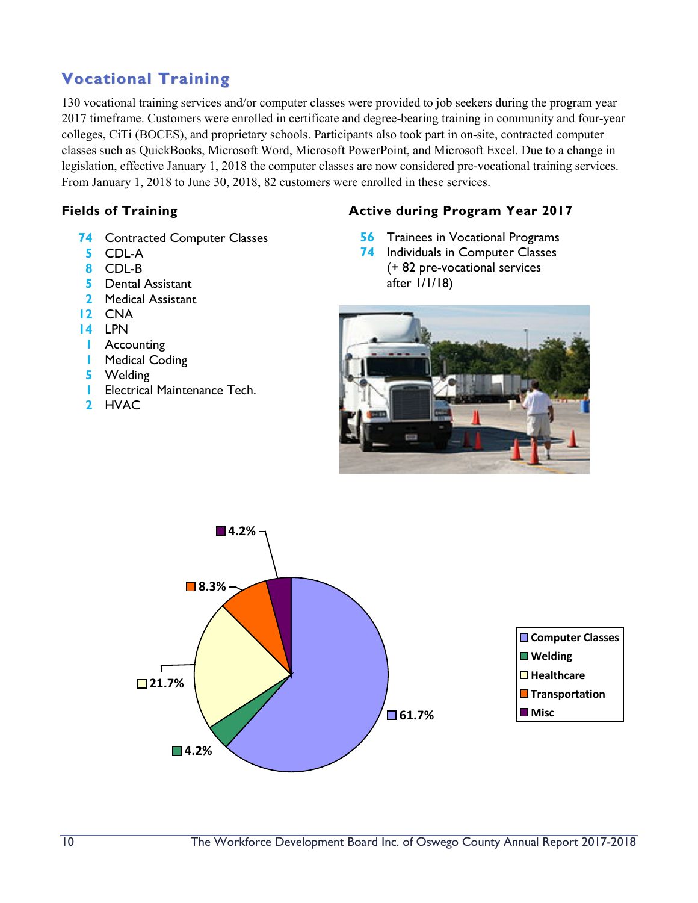# **Vocational Training**

130 vocational training services and/or computer classes were provided to job seekers during the program year 2017 timeframe. Customers were enrolled in certificate and degree-bearing training in community and four-year colleges, CiTi (BOCES), and proprietary schools. Participants also took part in on-site, contracted computer classes such as QuickBooks, Microsoft Word, Microsoft PowerPoint, and Microsoft Excel. Due to a change in legislation, effective January 1, 2018 the computer classes are now considered pre-vocational training services. From January 1, 2018 to June 30, 2018, 82 customers were enrolled in these services.

- **74** Contracted Computer Classes
- **5** CDL-A
- **8** CDL-B
- **5** Dental Assistant
- **2** Medical Assistant
- **12** CNA
- **14** LPN
- **1** Accounting
- **1** Medical Coding
- **5** Welding
- **1** Electrical Maintenance Tech.
- **2** HVAC

#### **Fields of Training Active during Program Year 2017**

- **56** Trainees in Vocational Programs
- **74** Individuals in Computer Classes (+ 82 pre-vocational services after 1/1/18)



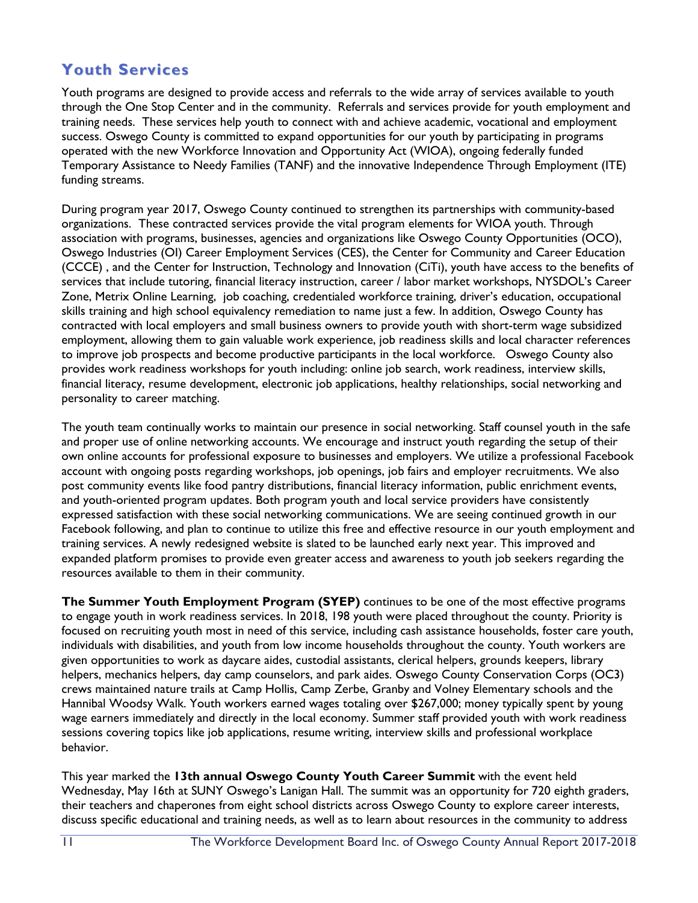# **Youth Services**

Youth programs are designed to provide access and referrals to the wide array of services available to youth through the One Stop Center and in the community. Referrals and services provide for youth employment and training needs. These services help youth to connect with and achieve academic, vocational and employment success. Oswego County is committed to expand opportunities for our youth by participating in programs operated with the new Workforce Innovation and Opportunity Act (WIOA), ongoing federally funded Temporary Assistance to Needy Families (TANF) and the innovative Independence Through Employment (ITE) funding streams.

During program year 2017, Oswego County continued to strengthen its partnerships with community-based organizations. These contracted services provide the vital program elements for WIOA youth. Through association with programs, businesses, agencies and organizations like Oswego County Opportunities (OCO), Oswego Industries (OI) Career Employment Services (CES), the Center for Community and Career Education (CCCE) , and the Center for Instruction, Technology and Innovation (CiTi), youth have access to the benefits of services that include tutoring, financial literacy instruction, career / labor market workshops, NYSDOL's Career Zone, Metrix Online Learning, job coaching, credentialed workforce training, driver's education, occupational skills training and high school equivalency remediation to name just a few. In addition, Oswego County has contracted with local employers and small business owners to provide youth with short-term wage subsidized employment, allowing them to gain valuable work experience, job readiness skills and local character references to improve job prospects and become productive participants in the local workforce. Oswego County also provides work readiness workshops for youth including: online job search, work readiness, interview skills, financial literacy, resume development, electronic job applications, healthy relationships, social networking and personality to career matching.

The youth team continually works to maintain our presence in social networking. Staff counsel youth in the safe and proper use of online networking accounts. We encourage and instruct youth regarding the setup of their own online accounts for professional exposure to businesses and employers. We utilize a professional Facebook account with ongoing posts regarding workshops, job openings, job fairs and employer recruitments. We also post community events like food pantry distributions, financial literacy information, public enrichment events, and youth-oriented program updates. Both program youth and local service providers have consistently expressed satisfaction with these social networking communications. We are seeing continued growth in our Facebook following, and plan to continue to utilize this free and effective resource in our youth employment and training services. A newly redesigned website is slated to be launched early next year. This improved and expanded platform promises to provide even greater access and awareness to youth job seekers regarding the resources available to them in their community.

**The Summer Youth Employment Program (SYEP)** continues to be one of the most effective programs to engage youth in work readiness services. In 2018, 198 youth were placed throughout the county. Priority is focused on recruiting youth most in need of this service, including cash assistance households, foster care youth, individuals with disabilities, and youth from low income households throughout the county. Youth workers are given opportunities to work as daycare aides, custodial assistants, clerical helpers, grounds keepers, library helpers, mechanics helpers, day camp counselors, and park aides. Oswego County Conservation Corps (OC3) crews maintained nature trails at Camp Hollis, Camp Zerbe, Granby and Volney Elementary schools and the Hannibal Woodsy Walk. Youth workers earned wages totaling over \$267,000; money typically spent by young wage earners immediately and directly in the local economy. Summer staff provided youth with work readiness sessions covering topics like job applications, resume writing, interview skills and professional workplace behavior.

This year marked the **13th annual Oswego County Youth Career Summit** with the event held Wednesday, May 16th at SUNY Oswego's Lanigan Hall. The summit was an opportunity for 720 eighth graders, their teachers and chaperones from eight school districts across Oswego County to explore career interests, discuss specific educational and training needs, as well as to learn about resources in the community to address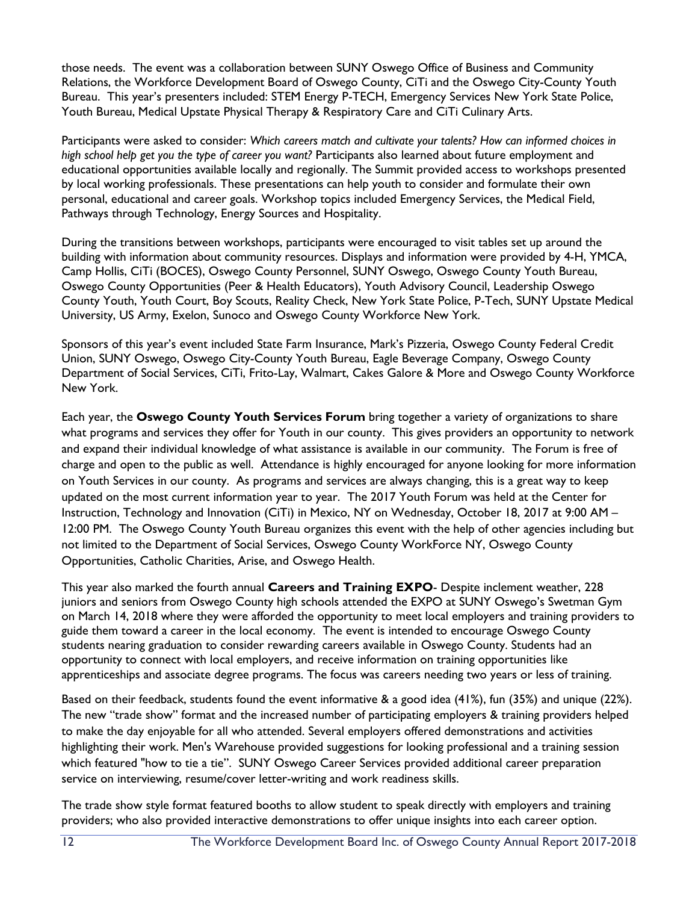those needs. The event was a collaboration between SUNY Oswego Office of Business and Community Relations, the Workforce Development Board of Oswego County, CiTi and the Oswego City-County Youth Bureau. This year's presenters included: STEM Energy P-TECH, Emergency Services New York State Police, Youth Bureau, Medical Upstate Physical Therapy & Respiratory Care and CiTi Culinary Arts.

Participants were asked to consider: *Which careers match and cultivate your talents? How can informed choices in high school help get you the type of career you want?* Participants also learned about future employment and educational opportunities available locally and regionally. The Summit provided access to workshops presented by local working professionals. These presentations can help youth to consider and formulate their own personal, educational and career goals. Workshop topics included Emergency Services, the Medical Field, Pathways through Technology, Energy Sources and Hospitality.

During the transitions between workshops, participants were encouraged to visit tables set up around the building with information about community resources. Displays and information were provided by 4-H, YMCA, Camp Hollis, CiTi (BOCES), Oswego County Personnel, SUNY Oswego, Oswego County Youth Bureau, Oswego County Opportunities (Peer & Health Educators), Youth Advisory Council, Leadership Oswego County Youth, Youth Court, Boy Scouts, Reality Check, New York State Police, P-Tech, SUNY Upstate Medical University, US Army, Exelon, Sunoco and Oswego County Workforce New York.

Sponsors of this year's event included State Farm Insurance, Mark's Pizzeria, Oswego County Federal Credit Union, SUNY Oswego, Oswego City-County Youth Bureau, Eagle Beverage Company, Oswego County Department of Social Services, CiTi, Frito-Lay, Walmart, Cakes Galore & More and Oswego County Workforce New York.

Each year, the **Oswego County Youth Services Forum** bring together a variety of organizations to share what programs and services they offer for Youth in our county. This gives providers an opportunity to network and expand their individual knowledge of what assistance is available in our community. The Forum is free of charge and open to the public as well. Attendance is highly encouraged for anyone looking for more information on Youth Services in our county. As programs and services are always changing, this is a great way to keep updated on the most current information year to year. The 2017 Youth Forum was held at the Center for Instruction, Technology and Innovation (CiTi) in Mexico, NY on Wednesday, October 18, 2017 at 9:00 AM – 12:00 PM. The Oswego County Youth Bureau organizes this event with the help of other agencies including but not limited to the Department of Social Services, Oswego County WorkForce NY, Oswego County Opportunities, Catholic Charities, Arise, and Oswego Health.

This year also marked the fourth annual **Careers and Training EXPO**- Despite inclement weather, 228 juniors and seniors from Oswego County high schools attended the EXPO at SUNY Oswego's Swetman Gym on March 14, 2018 where they were afforded the opportunity to meet local employers and training providers to guide them toward a career in the local economy. The event is intended to encourage Oswego County students nearing graduation to consider rewarding careers available in Oswego County. Students had an opportunity to connect with local employers, and receive information on training opportunities like apprenticeships and associate degree programs. The focus was careers needing two years or less of training.

Based on their feedback, students found the event informative & a good idea (41%), fun (35%) and unique (22%). The new "trade show" format and the increased number of participating employers & training providers helped to make the day enjoyable for all who attended. Several employers offered demonstrations and activities highlighting their work. Men's Warehouse provided suggestions for looking professional and a training session which featured "how to tie a tie". SUNY Oswego Career Services provided additional career preparation service on interviewing, resume/cover letter-writing and work readiness skills.

The trade show style format featured booths to allow student to speak directly with employers and training providers; who also provided interactive demonstrations to offer unique insights into each career option.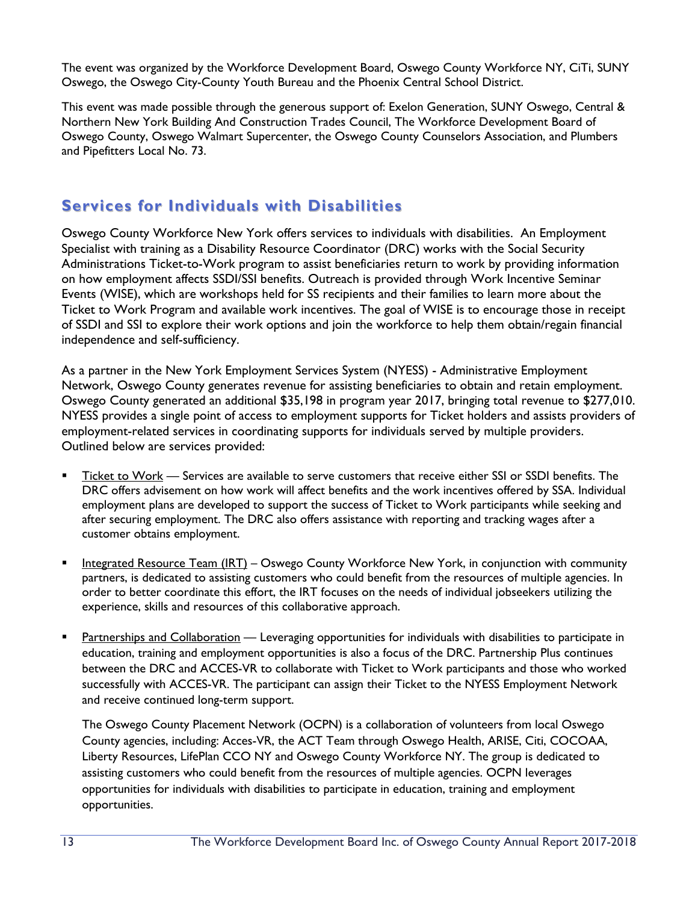The event was organized by the Workforce Development Board, Oswego County Workforce NY, CiTi, SUNY Oswego, the Oswego City-County Youth Bureau and the Phoenix Central School District.

This event was made possible through the generous support of: Exelon Generation, SUNY Oswego, Central & Northern New York Building And Construction Trades Council, The Workforce Development Board of Oswego County, Oswego Walmart Supercenter, the Oswego County Counselors Association, and Plumbers and Pipefitters Local No. 73.

# **Services for Individuals with Disabilities**

Oswego County Workforce New York offers services to individuals with disabilities. An Employment Specialist with training as a Disability Resource Coordinator (DRC) works with the Social Security Administrations Ticket-to-Work program to assist beneficiaries return to work by providing information on how employment affects SSDI/SSI benefits. Outreach is provided through Work Incentive Seminar Events (WISE), which are workshops held for SS recipients and their families to learn more about the Ticket to Work Program and available work incentives. The goal of WISE is to encourage those in receipt of SSDI and SSI to explore their work options and join the workforce to help them obtain/regain financial independence and self-sufficiency.

As a partner in the New York Employment Services System (NYESS) - Administrative Employment Network, Oswego County generates revenue for assisting beneficiaries to obtain and retain employment. Oswego County generated an additional \$35,198 in program year 2017, bringing total revenue to \$277,010. NYESS provides a single point of access to employment supports for Ticket holders and assists providers of employment-related services in coordinating supports for individuals served by multiple providers. Outlined below are services provided:

- Ticket to Work Services are available to serve customers that receive either SSI or SSDI benefits. The DRC offers advisement on how work will affect benefits and the work incentives offered by SSA. Individual employment plans are developed to support the success of Ticket to Work participants while seeking and after securing employment. The DRC also offers assistance with reporting and tracking wages after a customer obtains employment.
- **Integrated Resource Team (IRT) Oswego County Workforce New York, in conjunction with community** partners, is dedicated to assisting customers who could benefit from the resources of multiple agencies. In order to better coordinate this effort, the IRT focuses on the needs of individual jobseekers utilizing the experience, skills and resources of this collaborative approach.
- **Partnerships and Collaboration** Leveraging opportunities for individuals with disabilities to participate in education, training and employment opportunities is also a focus of the DRC. Partnership Plus continues between the DRC and ACCES-VR to collaborate with Ticket to Work participants and those who worked successfully with ACCES-VR. The participant can assign their Ticket to the NYESS Employment Network and receive continued long-term support.

The Oswego County Placement Network (OCPN) is a collaboration of volunteers from local Oswego County agencies, including: Acces-VR, the ACT Team through Oswego Health, ARISE, Citi, COCOAA, Liberty Resources, LifePlan CCO NY and Oswego County Workforce NY. The group is dedicated to assisting customers who could benefit from the resources of multiple agencies. OCPN leverages opportunities for individuals with disabilities to participate in education, training and employment opportunities.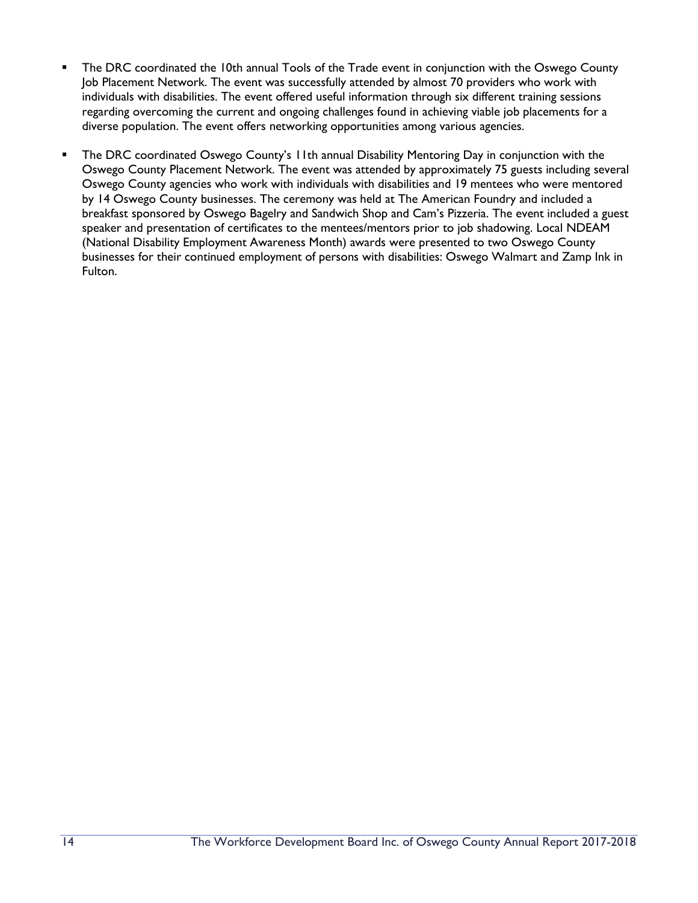- The DRC coordinated the 10th annual Tools of the Trade event in conjunction with the Oswego County Job Placement Network. The event was successfully attended by almost 70 providers who work with individuals with disabilities. The event offered useful information through six different training sessions regarding overcoming the current and ongoing challenges found in achieving viable job placements for a diverse population. The event offers networking opportunities among various agencies.
- The DRC coordinated Oswego County's 11th annual Disability Mentoring Day in conjunction with the Oswego County Placement Network. The event was attended by approximately 75 guests including several Oswego County agencies who work with individuals with disabilities and 19 mentees who were mentored by 14 Oswego County businesses. The ceremony was held at The American Foundry and included a breakfast sponsored by Oswego Bagelry and Sandwich Shop and Cam's Pizzeria. The event included a guest speaker and presentation of certificates to the mentees/mentors prior to job shadowing. Local NDEAM (National Disability Employment Awareness Month) awards were presented to two Oswego County businesses for their continued employment of persons with disabilities: Oswego Walmart and Zamp Ink in Fulton.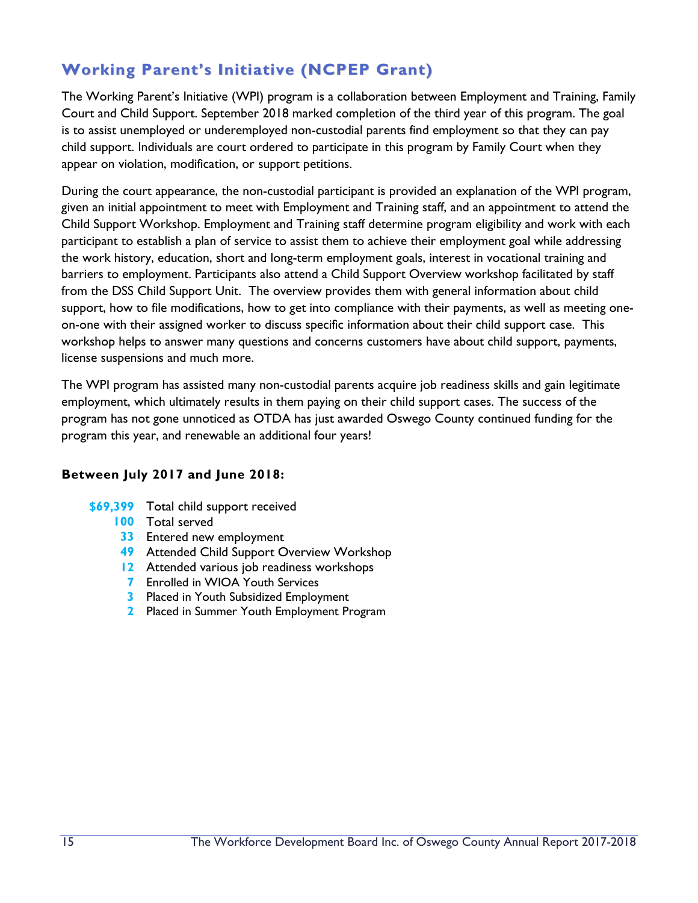# **Working Parent's Initiative (NCPEP Grant)**

The Working Parent's Initiative (WPI) program is a collaboration between Employment and Training, Family Court and Child Support. September 2018 marked completion of the third year of this program. The goal is to assist unemployed or underemployed non-custodial parents find employment so that they can pay child support. Individuals are court ordered to participate in this program by Family Court when they appear on violation, modification, or support petitions.

During the court appearance, the non-custodial participant is provided an explanation of the WPI program, given an initial appointment to meet with Employment and Training staff, and an appointment to attend the Child Support Workshop. Employment and Training staff determine program eligibility and work with each participant to establish a plan of service to assist them to achieve their employment goal while addressing the work history, education, short and long-term employment goals, interest in vocational training and barriers to employment. Participants also attend a Child Support Overview workshop facilitated by staff from the DSS Child Support Unit. The overview provides them with general information about child support, how to file modifications, how to get into compliance with their payments, as well as meeting oneon-one with their assigned worker to discuss specific information about their child support case. This workshop helps to answer many questions and concerns customers have about child support, payments, license suspensions and much more.

The WPI program has assisted many non-custodial parents acquire job readiness skills and gain legitimate employment, which ultimately results in them paying on their child support cases. The success of the program has not gone unnoticed as OTDA has just awarded Oswego County continued funding for the program this year, and renewable an additional four years!

#### **Between July 2017 and June 2018:**

- **\$69,399** Total child support received
	- **100** Total served
	- **33** Entered new employment
	- **49** Attended Child Support Overview Workshop
	- **12** Attended various job readiness workshops
	- **7** Enrolled in WIOA Youth Services
	- **3** Placed in Youth Subsidized Employment
	- **2** Placed in Summer Youth Employment Program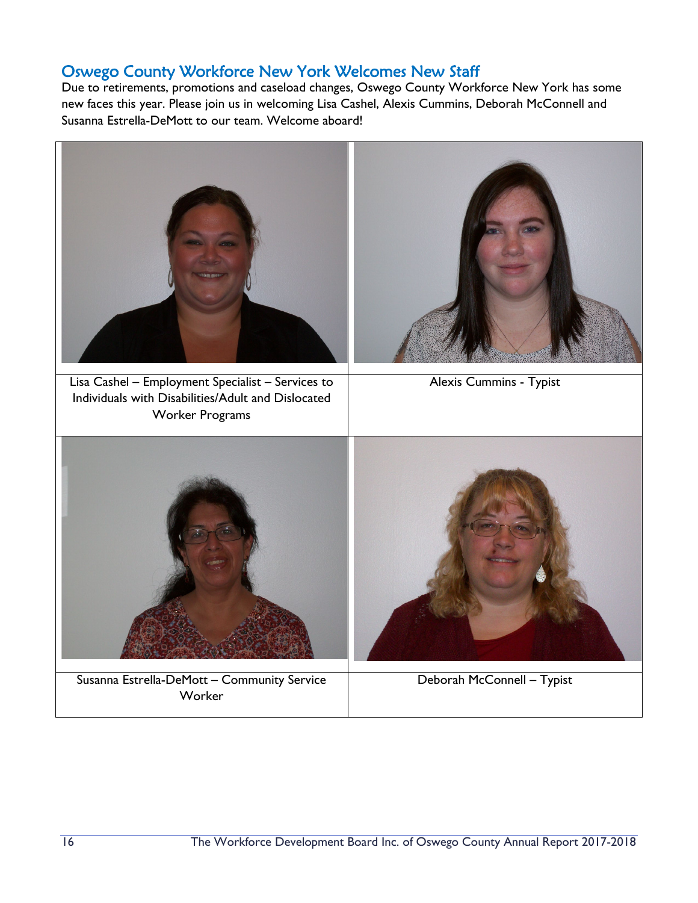## Oswego County Workforce New York Welcomes New Staff

Due to retirements, promotions and caseload changes, Oswego County Workforce New York has some new faces this year. Please join us in welcoming Lisa Cashel, Alexis Cummins, Deborah McConnell and Susanna Estrella-DeMott to our team. Welcome aboard!

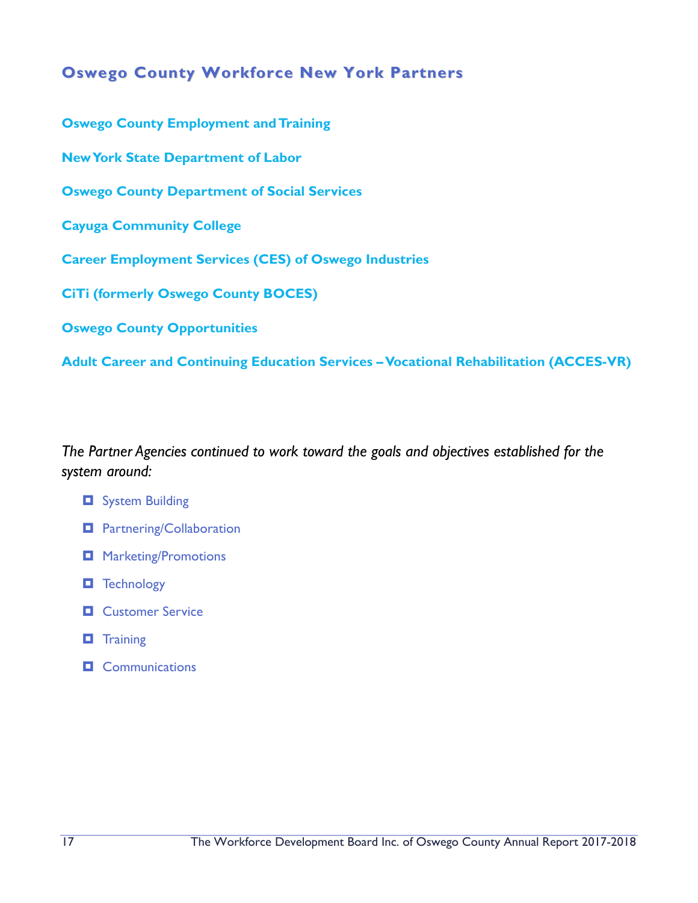## **Oswego County Workforce New York Partners**

**Oswego County Employment and Training New York State Department of Labor Oswego County Department of Social Services Cayuga Community College Career Employment Services (CES) of Oswego Industries CiTi (formerly Oswego County BOCES) Oswego County Opportunities** 

**Adult Career and Continuing Education Services –Vocational Rehabilitation (ACCES-VR)**

*The Partner Agencies continued to work toward the goals and objectives established for the system around:*

- $\Box$  System Building
- **D** Partnering/Collaboration
- $\Box$  Marketing/Promotions
- **T** Technology
- **D** Customer Service
- **T** Training
- $\Box$  Communications